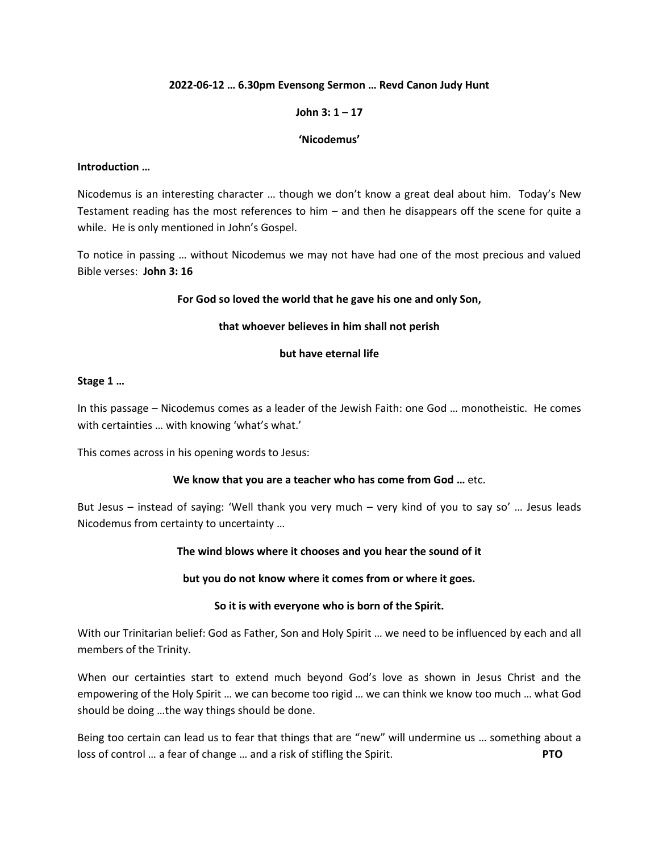## **2022-06-12 … 6.30pm Evensong Sermon … Revd Canon Judy Hunt**

# **John 3: 1 – 17**

### **'Nicodemus'**

#### **Introduction …**

Nicodemus is an interesting character … though we don't know a great deal about him. Today's New Testament reading has the most references to him – and then he disappears off the scene for quite a while. He is only mentioned in John's Gospel.

To notice in passing … without Nicodemus we may not have had one of the most precious and valued Bible verses: **John 3: 16** 

### **For God so loved the world that he gave his one and only Son,**

### **that whoever believes in him shall not perish**

### **but have eternal life**

## **Stage 1 …**

In this passage – Nicodemus comes as a leader of the Jewish Faith: one God … monotheistic. He comes with certainties … with knowing 'what's what.'

This comes across in his opening words to Jesus:

## **We know that you are a teacher who has come from God …** etc.

But Jesus – instead of saying: 'Well thank you very much – very kind of you to say so' … Jesus leads Nicodemus from certainty to uncertainty …

## **The wind blows where it chooses and you hear the sound of it**

#### **but you do not know where it comes from or where it goes.**

## **So it is with everyone who is born of the Spirit.**

With our Trinitarian belief: God as Father, Son and Holy Spirit … we need to be influenced by each and all members of the Trinity.

When our certainties start to extend much beyond God's love as shown in Jesus Christ and the empowering of the Holy Spirit … we can become too rigid … we can think we know too much … what God should be doing …the way things should be done.

Being too certain can lead us to fear that things that are "new" will undermine us … something about a loss of control … a fear of change … and a risk of stifling the Spirit. **PTO**